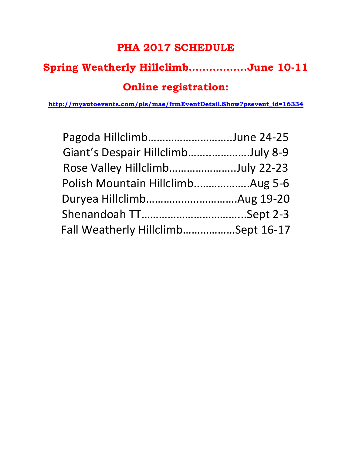## **PHA 2017 SCHEDULE**

## **Spring Weatherly Hillclimb……………..June 10-11**

## **Online registration:**

**[http://myautoevents.com/pls/mae/frmEventDetail.Show?psevent\\_id=16334](http://myautoevents.com/pls/mae/frmEventDetail.Show?psevent_id=16334)**

| Pagoda HillclimbJune 24-25                 |  |
|--------------------------------------------|--|
| Giant's Despair HillclimbJuly 8-9          |  |
| Rose Valley Hillclimb(Tentative)July 22-23 |  |
| Polish Mountain HillclimbAug 5-6           |  |
|                                            |  |
|                                            |  |
| Fall Weatherly HillclimbSept 16-17         |  |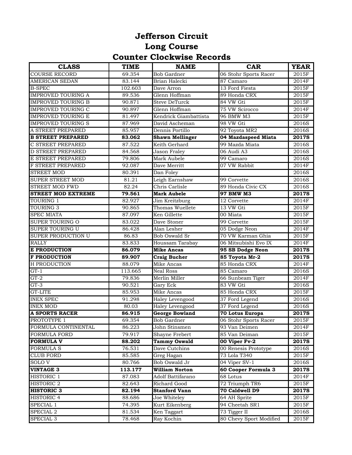## **Jefferson Circuit Long Course Counter Clockwise Records**

| <b>CLASS</b>              | <b>TIME</b> | <b>NAME</b>            | <b>CAR</b>              | <b>YEAR</b>  |
|---------------------------|-------------|------------------------|-------------------------|--------------|
| <b>COURSE RECORD</b>      | 69.354      | <b>Bob Gardner</b>     | 06 Stohr Sports Racer   | 2015F        |
| <b>AMERICAN SEDAN</b>     | 83.144      | Brian Halecki          | 87 Camaro               | 2014F        |
| <b>B-SPEC</b>             | 102.603     | Dave Arron             | 13 Ford Fiesta          | 2015F        |
| <b>IMPROVED TOURING A</b> | 89.536      | Glenn Hoffman          | 89 Honda CRX            | 2015F        |
| <b>IMPROVED TOURING B</b> | 90.871      | <b>Steve DeTurck</b>   | 84 VW Gti               | 2015F        |
| <b>IMPROVED TOURING C</b> | 90.897      | Glenn Hoffman          | 75 VW Scirocco          | 2014F        |
| <b>IMPROVED TOURING E</b> | 81.497      | Kendrick Giambattista  | 96 BMW M3               | 2015F        |
| <b>IMPROVED TOURING S</b> | 87.969      | David Ascheman         | 98 VW Gti               | 2016S        |
| A STREET PREPARED         | 85.957      | Dennis Portillo        | 92 Toyota MR2           | 2016S        |
| <b>B STREET PREPARED</b>  | 83.062      | <b>Shawn Mellinger</b> | 04 Mazdaspeed Miata     | 2017S        |
| C STREET PREPARED         | 87.522      | Keith Gerhard          | 99 Mazda Miata          | 2016S        |
| D STREET PREPARED         | 84.568      | Jason Fraley           | 06 Audi A3              | 2016S        |
| E STREET PREPARED         | 79.806      | Mark Aubele            | 99 Camaro               | 2016S        |
| F STREET PREPARED         | 92.087      | Dave Merritt           | 07 VW Rabbit            | 2014F        |
| <b>STREET MOD</b>         | 80.391      | Dan Foley              |                         | 2016S        |
| SUPER STREET MOD          | 81.21       | Leigh Earnshaw         | 99 Corvette             | 2016S        |
| STREET MOD FWD            | 82.24       | Chris Carlisle         | 89 Honda Civic CX       | 2016S        |
| <b>STREET MOD EXTREME</b> | 79.561      | <b>Mark Aubele</b>     | 97 BMW M3               | 2017S        |
| TOURING 1                 | 82.927      | Jim Kreitzburg         | 12 Corvette             | 2014F        |
| <b>TOURING 3</b>          | 90.865      | Thomas Wuellete        | 13 VW Gti               | 2015F        |
| <b>SPEC MIATA</b>         | 87.097      | Ken Gillette           | 00 Miata                | 2015F        |
| <b>SUPER TOURING O</b>    | 83.022      | Dave Stoner            | 99 Corvette             | 2015F        |
| <b>SUPER TOURING U</b>    | 86.428      | Alan Lesher            | 05 Dodge Neon           | 2014F        |
| <b>SUPER PRODUCTION U</b> | 86.83       | <b>Bob Oswald Sr</b>   | 70 VW Karman Ghia       | 2015F        |
| <b>RALLY</b>              | 83.833      | Houssam Tarabay        | 06 Mitsubishi Evo IX    | 2014F        |
| <b>E PRODUCTION</b>       | 86.079      | <b>Mike Ancas</b>      | 95 SB Dodge Neon        | 2017S        |
| <b>F PRODUCTION</b>       | 89.907      | <b>Craig Bucher</b>    | 85 Toyota Mr-2          | 2017S        |
| H PRODUCTION              | 88.079      | Mike Ancas             | 85 Honda CRX            | 2014F        |
| $GT-1$                    | 113.665     | <b>Neal Ross</b>       | 85 Camaro               | 2016S        |
| $GT-2$                    | 79.836      | Merlin Miller          | 66 Sunbeam Tiger        | 2014F        |
| $GT-3$                    | 90.521      | <b>Gary Eck</b>        | 83 VW Gti               | 2016S        |
| <b>GT-LITE</b>            | 85.953      | <b>Mike Ancas</b>      | 85 Honda CRX            | 2015F        |
| <b>INEX SPEC</b>          | 91.298      | <b>Haley Levengood</b> | 37 Ford Legend          | 2016S        |
| <b>INEX MOD</b>           | 80.03       | <b>Haley Levengood</b> | 37 Ford Legend          | 2016S        |
| <b>A SPORTS RACER</b>     | 86.915      | <b>George Bowland</b>  | <b>70 Lotus Europa</b>  | <b>2017S</b> |
| PROTOTYPE 1               | 69.354      | <b>Bob Gardner</b>     | 06 Stohr Sports Racer   | 2015F        |
| FORMULA CONTINENTAL       | 86.223      | John Stinsmen          | 93 Van Deimen           | 2014F        |
| <b>FORMULA FORD</b>       | 79.917      | <b>Shayne Frebert</b>  | 85 Van Deiman           | 2015F        |
| <b>FORMULA V</b>          | 88.202      | <b>Tammy Oswald</b>    | 00 Viper Fv-2           | 2017S        |
| <b>FORMULA S</b>          | 76.531      | Dave Cutchins          | 00 Renesis Prototype    | 2016S        |
| <b>CLUB FORD</b>          | 85.585      | Greg Hagan             | 73 Lola T340            | 2015F        |
| SOLO <sub>V</sub>         | 80.766      | Bob Oswald Jr          | 04 Viper SV-1           | 2016S        |
| <b>VINTAGE 3</b>          | 113.177     | <b>William Norton</b>  | 60 Cooper Formula 3     | 2017S        |
| <b>HISTORIC 1</b>         | 87.083      | Adolf Battifarano      | 68 Lotus                | 2014F        |
| <b>HISTORIC 2</b>         | 82.643      | Richard Good           | 72 Triumph TR6          | 2015F        |
| <b>HISTORIC 3</b>         | 82.194      | <b>Stanford Vann</b>   | 70 Caldwell D9          | <b>2017S</b> |
| <b>HISTORIC 4</b>         | 88.686      | Joe Whiteley           | 64 AH Sprite            | 2015F        |
| SPECIAL 1                 | 74.395      | Kurt Eikenberg         | 94 Cheetah SR1          | 2015F        |
| SPECIAL 2                 | 81.534      | Ken Taggart            | 73 Tigger II            | 2016S        |
| SPECIAL <sub>3</sub>      | 78.468      | Ray Kochin             | 80 Chevy Sport Modified | 2015F        |